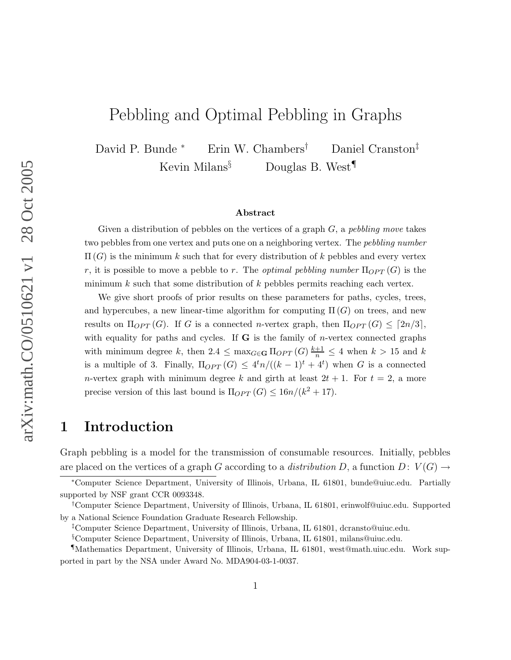# Pebbling and Optimal Pebbling in Graphs

David P. Bunde <sup>∗</sup> Erin W. Chambers† Daniel Cranston‡ Kevin Milans<sup>§</sup> Douglas B. West<sup>¶</sup>

#### Abstract

Given a distribution of pebbles on the vertices of a graph  $G$ , a pebbling move takes two pebbles from one vertex and puts one on a neighboring vertex. The pebbling number  $\Pi(G)$  is the minimum k such that for every distribution of k pebbles and every vertex r, it is possible to move a pebble to r. The *optimal pebbling number*  $\Pi_{OPT}(G)$  is the minimum  $k$  such that some distribution of  $k$  pebbles permits reaching each vertex.

We give short proofs of prior results on these parameters for paths, cycles, trees, and hypercubes, a new linear-time algorithm for computing  $\Pi(G)$  on trees, and new results on  $\Pi_{OPT}(G)$ . If G is a connected n-vertex graph, then  $\Pi_{OPT}(G) \leq [2n/3]$ , with equality for paths and cycles. If  $G$  is the family of *n*-vertex connected graphs with minimum degree k, then  $2.4 \leq \max_{G \in \mathbf{G}} \prod_{OPT}(G) \frac{k+1}{n} \leq 4$  when  $k > 15$  and k is a multiple of 3. Finally,  $\Pi_{OPT}(G) \leq 4^t n/((k-1)^t + 4^t)$  when G is a connected *n*-vertex graph with minimum degree k and girth at least  $2t + 1$ . For  $t = 2$ , a more precise version of this last bound is  $\Pi_{OPT}(G) \leq 16n/(k^2+17)$ .

### 1 Introduction

Graph pebbling is a model for the transmission of consumable resources. Initially, pebbles are placed on the vertices of a graph G according to a distribution D, a function  $D: V(G) \rightarrow$ 

<sup>∗</sup>Computer Science Department, University of Illinois, Urbana, IL 61801, bunde@uiuc.edu. Partially supported by NSF grant CCR 0093348.

<sup>†</sup>Computer Science Department, University of Illinois, Urbana, IL 61801, erinwolf@uiuc.edu. Supported by a National Science Foundation Graduate Research Fellowship.

<sup>‡</sup>Computer Science Department, University of Illinois, Urbana, IL 61801, dcransto@uiuc.edu.

<sup>§</sup>Computer Science Department, University of Illinois, Urbana, IL 61801, milans@uiuc.edu.

<sup>¶</sup>Mathematics Department, University of Illinois, Urbana, IL 61801, west@math.uiuc.edu. Work supported in part by the NSA under Award No. MDA904-03-1-0037.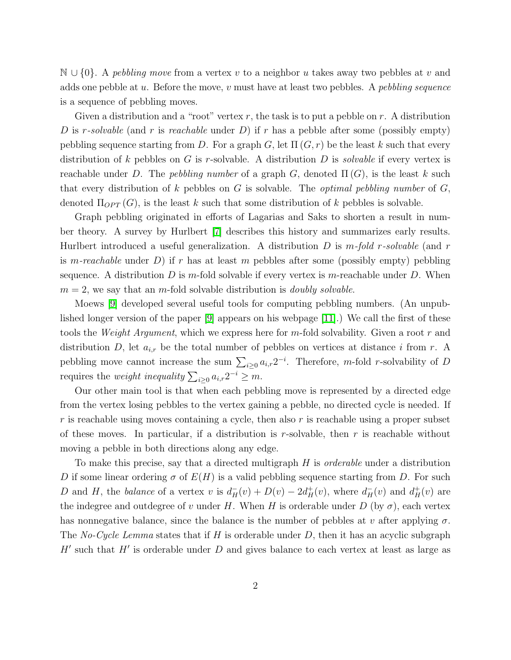$\mathbb{N} \cup \{0\}$ . A pebbling move from a vertex v to a neighbor u takes away two pebbles at v and adds one pebble at u. Before the move, v must have at least two pebbles. A pebbling sequence is a sequence of pebbling moves.

Given a distribution and a "root" vertex  $r$ , the task is to put a pebble on  $r$ . A distribution D is r-solvable (and r is reachable under D) if r has a pebble after some (possibly empty) pebbling sequence starting from D. For a graph G, let  $\Pi(G, r)$  be the least k such that every distribution of k pebbles on G is r-solvable. A distribution D is *solvable* if every vertex is reachable under D. The pebbling number of a graph G, denoted  $\Pi(G)$ , is the least k such that every distribution of k pebbles on G is solvable. The *optimal pebbling number* of  $G$ , denoted  $\Pi_{OPT}(G)$ , is the least k such that some distribution of k pebbles is solvable.

Graph pebbling originated in efforts of Lagarias and Saks to shorten a result in number theory. A survey by Hurlbert [\[7\]](#page-25-0) describes this history and summarizes early results. Hurlbert introduced a useful generalization. A distribution D is  $m$ -fold r-solvable (and r is m-reachable under D) if r has at least m pebbles after some (possibly empty) pebbling sequence. A distribution D is m-fold solvable if every vertex is m-reachable under D. When  $m = 2$ , we say that an m-fold solvable distribution is *doubly solvable*.

Moews [\[9\]](#page-25-1) developed several useful tools for computing pebbling numbers. (An unpublished longer version of the paper [\[9\]](#page-25-1) appears on his webpage [\[11\]](#page-25-2).) We call the first of these tools the *Weight Argument*, which we express here for m-fold solvability. Given a root r and distribution D, let  $a_{i,r}$  be the total number of pebbles on vertices at distance i from r. A pebbling move cannot increase the sum  $\sum_{i\geq 0} a_{i,r} 2^{-i}$ . Therefore, m-fold r-solvability of D requires the *weight inequality*  $\sum_{i\geq 0} a_{i,r} 2^{-i} \geq m$ .

Our other main tool is that when each pebbling move is represented by a directed edge from the vertex losing pebbles to the vertex gaining a pebble, no directed cycle is needed. If  $r$  is reachable using moves containing a cycle, then also  $r$  is reachable using a proper subset of these moves. In particular, if a distribution is r-solvable, then r is reachable without moving a pebble in both directions along any edge.

To make this precise, say that a directed multigraph H is *orderable* under a distribution D if some linear ordering  $\sigma$  of  $E(H)$  is a valid pebbling sequence starting from D. For such D and H, the balance of a vertex v is  $d_H^-(v) + D(v) - 2d_H^+(v)$ , where  $d_H^-(v)$  and  $d_H^+(v)$  are the indegree and outdegree of v under H. When H is orderable under D (by  $\sigma$ ), each vertex has nonnegative balance, since the balance is the number of pebbles at v after applying  $\sigma$ . The No-Cycle Lemma states that if H is orderable under D, then it has an acyclic subgraph  $H'$  such that  $H'$  is orderable under  $D$  and gives balance to each vertex at least as large as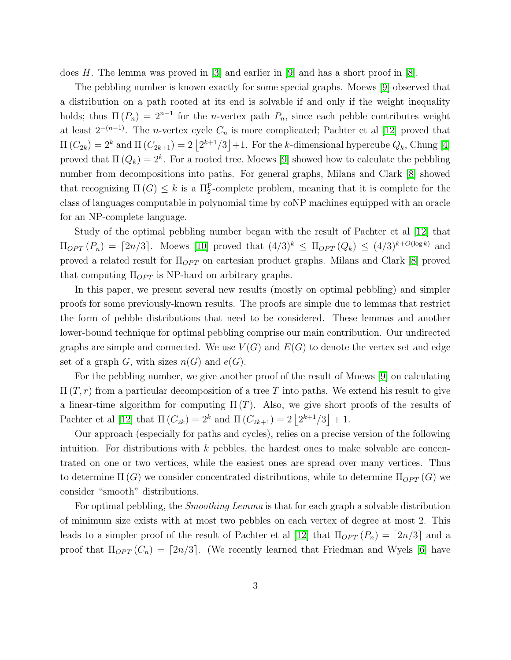does H. The lemma was proved in  $\vert 3 \vert$  and earlier in  $\vert 9 \vert$  and has a short proof in  $\vert 8 \vert$ .

The pebbling number is known exactly for some special graphs. Moews [\[9\]](#page-25-1) observed that a distribution on a path rooted at its end is solvable if and only if the weight inequality holds; thus  $\Pi(P_n) = 2^{n-1}$  for the *n*-vertex path  $P_n$ , since each pebble contributes weight at least  $2^{-(n-1)}$ . The *n*-vertex cycle  $C_n$  is more complicated; Pachter et al [\[12\]](#page-25-5) proved that  $\Pi(C_{2k}) = 2^k$  and  $\Pi(C_{2k+1}) = 2\left\lfloor 2^{k+1}/3 \right\rfloor + 1$ . For the k-dimensional hypercube  $Q_k$ , Chung [\[4\]](#page-25-6) proved that  $\Pi(Q_k) = 2^k$ . For a rooted tree, Moews [\[9\]](#page-25-1) showed how to calculate the pebbling number from decompositions into paths. For general graphs, Milans and Clark [\[8\]](#page-25-4) showed that recognizing  $\Pi(G) \leq k$  is a  $\Pi_2^{\text{P}}$ -complete problem, meaning that it is complete for the class of languages computable in polynomial time by coNP machines equipped with an oracle for an NP-complete language.

Study of the optimal pebbling number began with the result of Pachter et al [\[12\]](#page-25-5) that  $\Pi_{OPT}(P_n) = [2n/3]$ . Moews [\[10\]](#page-25-7) proved that  $(4/3)^k \leq \Pi_{OPT}(Q_k) \leq (4/3)^{k+O(\log k)}$  and proved a related result for  $\Pi_{OPT}$  on cartesian product graphs. Milans and Clark [\[8\]](#page-25-4) proved that computing  $\Pi_{OPT}$  is NP-hard on arbitrary graphs.

In this paper, we present several new results (mostly on optimal pebbling) and simpler proofs for some previously-known results. The proofs are simple due to lemmas that restrict the form of pebble distributions that need to be considered. These lemmas and another lower-bound technique for optimal pebbling comprise our main contribution. Our undirected graphs are simple and connected. We use  $V(G)$  and  $E(G)$  to denote the vertex set and edge set of a graph G, with sizes  $n(G)$  and  $e(G)$ .

For the pebbling number, we give another proof of the result of Moews [\[9\]](#page-25-1) on calculating  $\Pi(T, r)$  from a particular decomposition of a tree T into paths. We extend his result to give a linear-time algorithm for computing  $\Pi(T)$ . Also, we give short proofs of the results of Pachter et al [\[12\]](#page-25-5) that  $\Pi(C_{2k}) = 2^k$  and  $\Pi(C_{2k+1}) = 2|2^{k+1}/3| + 1$ .

Our approach (especially for paths and cycles), relies on a precise version of the following intuition. For distributions with  $k$  pebbles, the hardest ones to make solvable are concentrated on one or two vertices, while the easiest ones are spread over many vertices. Thus to determine  $\Pi(G)$  we consider concentrated distributions, while to determine  $\Pi_{OPT}(G)$  we consider "smooth" distributions.

For optimal pebbling, the *Smoothing Lemma* is that for each graph a solvable distribution of minimum size exists with at most two pebbles on each vertex of degree at most 2. This leads to a simpler proof of the result of Pachter et al [\[12\]](#page-25-5) that  $\Pi_{OPT}(P_n) = [2n/3]$  and a proof that  $\Pi_{OPT}(C_n) = [2n/3]$ . (We recently learned that Friedman and Wyels [\[6\]](#page-25-8) have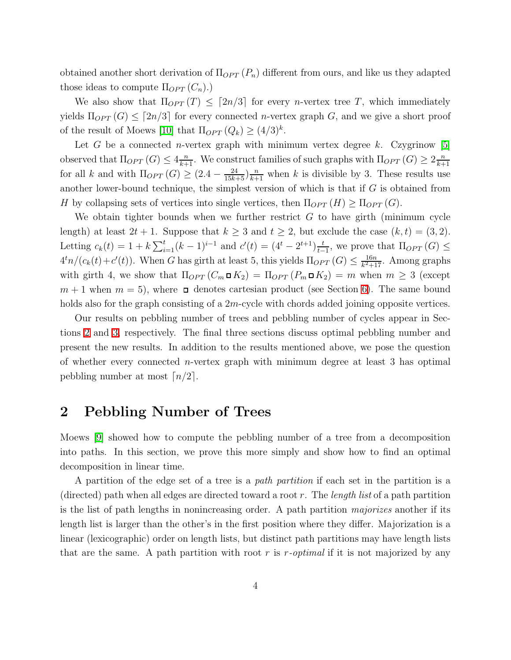obtained another short derivation of  $\Pi_{OPT}(P_n)$  different from ours, and like us they adapted those ideas to compute  $\Pi_{OPT}(C_n)$ .

We also show that  $\Pi_{OPT}(T) \leq [2n/3]$  for every *n*-vertex tree T, which immediately yields  $\Pi_{OPT}(G) \leq [2n/3]$  for every connected *n*-vertex graph G, and we give a short proof of the result of Moews [\[10\]](#page-25-7) that  $\Pi_{OPT}(Q_k) \geq (4/3)^k$ .

Let G be a connected *n*-vertex graph with minimum vertex degree k. Czygrinow [\[5\]](#page-25-9) observed that  $\Pi_{OPT}(G) \leq 4\frac{n}{k+1}$ . We construct families of such graphs with  $\Pi_{OPT}(G) \geq 2\frac{n}{k+1}$ .  $k+1$ for all k and with  $\Pi_{OPT}(G) \geq (2.4 - \frac{24}{15k+5})\frac{n}{k+1}$  when k is divisible by 3. These results use another lower-bound technique, the simplest version of which is that if  $G$  is obtained from H by collapsing sets of vertices into single vertices, then  $\Pi_{OPT}(H) \geq \Pi_{OPT}(G)$ .

We obtain tighter bounds when we further restrict  $G$  to have girth (minimum cycle length) at least  $2t + 1$ . Suppose that  $k \geq 3$  and  $t \geq 2$ , but exclude the case  $(k, t) = (3, 2)$ . Letting  $c_k(t) = 1 + k \sum_{i=1}^t (k-1)^{i-1}$  and  $c'(t) = (4^t - 2^{t+1}) \frac{t}{t-1}$  $\frac{t}{t-1}$ , we prove that  $\Pi_{OPT}(G) \leq$  $4<sup>t</sup>n/(c<sub>k</sub>(t)+c'(t))$ . When G has girth at least 5, this yields  $\Pi_{OPT}(G) \leq \frac{16n}{k^2+1}$  $\frac{16n}{k^2+17}$ . Among graphs with girth 4, we show that  $\Pi_{OPT}(C_m \square K_2) = \Pi_{OPT}(P_m \square K_2) = m$  when  $m \geq 3$  (except  $m + 1$  when  $m = 5$ , where  $\Box$  denotes cartesian product (see Section [6\)](#page-19-0). The same bound holds also for the graph consisting of a  $2m$ -cycle with chords added joining opposite vertices.

Our results on pebbling number of trees and pebbling number of cycles appear in Sections [2](#page-3-0) and [3,](#page-7-0) respectively. The final three sections discuss optimal pebbling number and present the new results. In addition to the results mentioned above, we pose the question of whether every connected *n*-vertex graph with minimum degree at least  $3$  has optimal pebbling number at most  $\lceil n/2 \rceil$ .

### <span id="page-3-0"></span>2 Pebbling Number of Trees

Moews [\[9\]](#page-25-1) showed how to compute the pebbling number of a tree from a decomposition into paths. In this section, we prove this more simply and show how to find an optimal decomposition in linear time.

A partition of the edge set of a tree is a path partition if each set in the partition is a (directed) path when all edges are directed toward a root r. The length list of a path partition is the list of path lengths in nonincreasing order. A path partition majorizes another if its length list is larger than the other's in the first position where they differ. Majorization is a linear (lexicographic) order on length lists, but distinct path partitions may have length lists that are the same. A path partition with root r is r-optimal if it is not majorized by any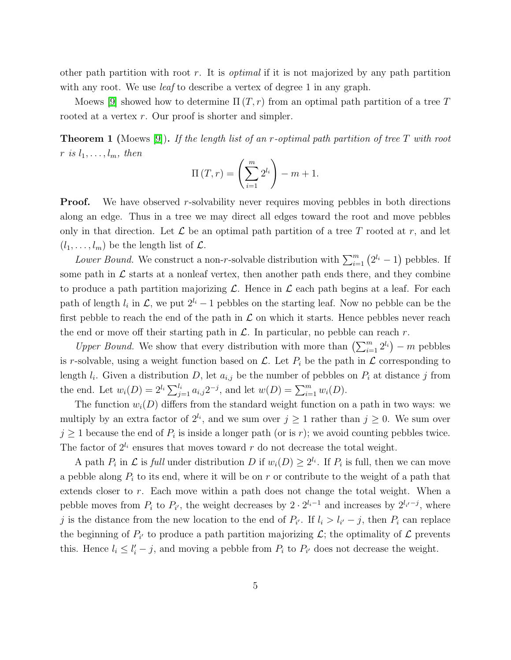other path partition with root r. It is *optimal* if it is not majorized by any path partition with any root. We use *leaf* to describe a vertex of degree 1 in any graph.

<span id="page-4-0"></span>Moews [\[9\]](#page-25-1) showed how to determine  $\Pi(T, r)$  from an optimal path partition of a tree T rooted at a vertex r. Our proof is shorter and simpler.

**Theorem 1** (Moews [\[9\]](#page-25-1)). If the length list of an r-optimal path partition of tree T with root r is  $l_1, \ldots, l_m$ , then

$$
\Pi(T,r) = \left(\sum_{i=1}^{m} 2^{l_i}\right) - m + 1.
$$

**Proof.** We have observed r-solvability never requires moving pebbles in both directions along an edge. Thus in a tree we may direct all edges toward the root and move pebbles only in that direction. Let  $\mathcal L$  be an optimal path partition of a tree T rooted at r, and let  $(l_1, \ldots, l_m)$  be the length list of  $\mathcal{L}$ .

Lower Bound. We construct a non-r-solvable distribution with  $\sum_{i=1}^{m} (2^{l_i} - 1)$  pebbles. If some path in  $\mathcal L$  starts at a nonleaf vertex, then another path ends there, and they combine to produce a path partition majorizing  $\mathcal L$ . Hence in  $\mathcal L$  each path begins at a leaf. For each path of length  $l_i$  in  $\mathcal{L}$ , we put  $2^{l_i}-1$  pebbles on the starting leaf. Now no pebble can be the first pebble to reach the end of the path in  $\mathcal L$  on which it starts. Hence pebbles never reach the end or move off their starting path in  $\mathcal{L}$ . In particular, no pebble can reach r.

Upper Bound. We show that every distribution with more than  $\left(\sum_{i=1}^m 2^{l_i}\right) - m$  pebbles is r-solvable, using a weight function based on  $\mathcal{L}$ . Let  $P_i$  be the path in  $\mathcal{L}$  corresponding to length  $l_i$ . Given a distribution D, let  $a_{i,j}$  be the number of pebbles on  $P_i$  at distance j from the end. Let  $w_i(D) = 2^{l_i} \sum_{j=1}^{l_i} a_{i,j} 2^{-j}$ , and let  $w(D) = \sum_{i=1}^{m} w_i(D)$ .

The function  $w_i(D)$  differs from the standard weight function on a path in two ways: we multiply by an extra factor of  $2^{l_i}$ , and we sum over  $j \geq 1$  rather than  $j \geq 0$ . We sum over  $j \geq 1$  because the end of  $P_i$  is inside a longer path (or is r); we avoid counting pebbles twice. The factor of  $2^{l_i}$  ensures that moves toward r do not decrease the total weight.

A path  $P_i$  in  $\mathcal L$  is full under distribution D if  $w_i(D) \geq 2^{l_i}$ . If  $P_i$  is full, then we can move a pebble along  $P_i$  to its end, where it will be on r or contribute to the weight of a path that extends closer to r. Each move within a path does not change the total weight. When a pebble moves from  $P_i$  to  $P_{i'}$ , the weight decreases by  $2 \cdot 2^{l_i-1}$  and increases by  $2^{l_{i'}-j}$ , where j is the distance from the new location to the end of  $P_{i'}$ . If  $l_i > l_{i'} - j$ , then  $P_i$  can replace the beginning of  $P_{i'}$  to produce a path partition majorizing  $\mathcal{L}$ ; the optimality of  $\mathcal{L}$  prevents this. Hence  $l_i \leq l'_i - j$ , and moving a pebble from  $P_i$  to  $P_{i'}$  does not decrease the weight.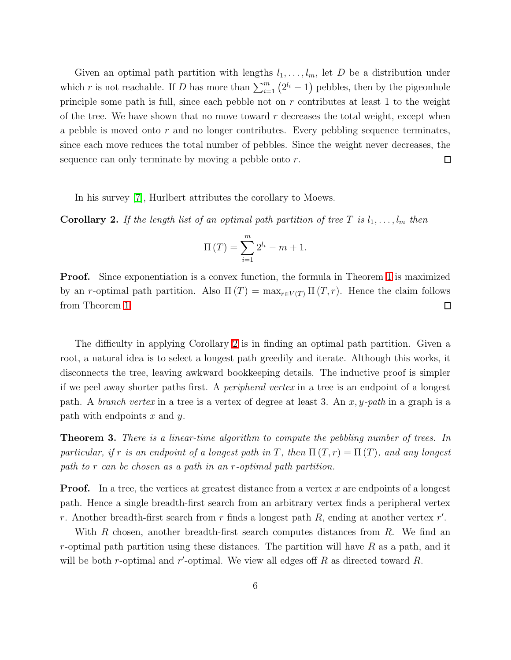Given an optimal path partition with lengths  $l_1, \ldots, l_m$ , let D be a distribution under which r is not reachable. If D has more than  $\sum_{i=1}^{m} (2^{l_i} - 1)$  pebbles, then by the pigeonhole principle some path is full, since each pebble not on r contributes at least 1 to the weight of the tree. We have shown that no move toward  $r$  decreases the total weight, except when a pebble is moved onto  $r$  and no longer contributes. Every pebbling sequence terminates, since each move reduces the total number of pebbles. Since the weight never decreases, the sequence can only terminate by moving a pebble onto r.  $\Box$ 

In his survey [\[7\]](#page-25-0), Hurlbert attributes the corollary to Moews.

<span id="page-5-0"></span>**Corollary 2.** If the length list of an optimal path partition of tree T is  $l_1, \ldots, l_m$  then

$$
\Pi(T) = \sum_{i=1}^{m} 2^{l_i} - m + 1.
$$

**Proof.** Since exponentiation is a convex function, the formula in Theorem [1](#page-4-0) is maximized by an r-optimal path partition. Also  $\Pi(T) = \max_{r \in V(T)} \Pi(T, r)$ . Hence the claim follows from Theorem [1.](#page-4-0)  $\Box$ 

The difficulty in applying Corollary [2](#page-5-0) is in finding an optimal path partition. Given a root, a natural idea is to select a longest path greedily and iterate. Although this works, it disconnects the tree, leaving awkward bookkeeping details. The inductive proof is simpler if we peel away shorter paths first. A peripheral vertex in a tree is an endpoint of a longest path. A *branch vertex* in a tree is a vertex of degree at least 3. An  $x, y$ -path in a graph is a path with endpoints  $x$  and  $y$ .

**Theorem 3.** There is a linear-time algorithm to compute the pebbling number of trees. In particular, if r is an endpoint of a longest path in T, then  $\Pi(T, r) = \Pi(T)$ , and any longest path to r can be chosen as a path in an r-optimal path partition.

**Proof.** In a tree, the vertices at greatest distance from a vertex x are endpoints of a longest path. Hence a single breadth-first search from an arbitrary vertex finds a peripheral vertex r. Another breadth-first search from r finds a longest path  $R$ , ending at another vertex  $r'$ .

With R chosen, another breadth-first search computes distances from R. We find an r-optimal path partition using these distances. The partition will have  $R$  as a path, and it will be both r-optimal and r'-optimal. We view all edges off  $R$  as directed toward  $R$ .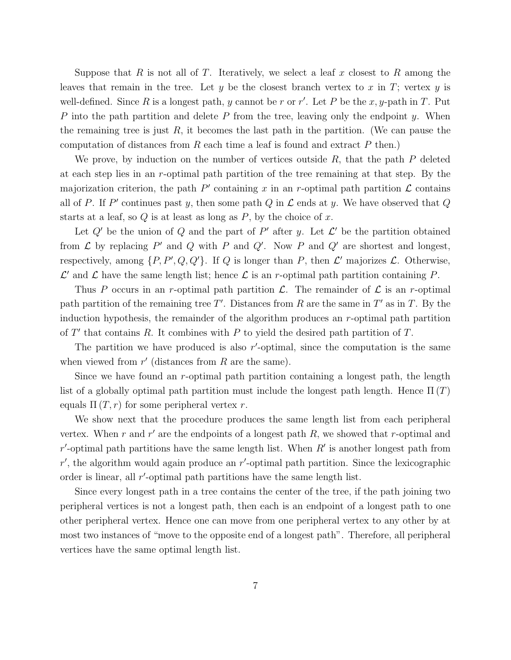Suppose that R is not all of T. Iteratively, we select a leaf x closest to R among the leaves that remain in the tree. Let y be the closest branch vertex to x in T; vertex y is well-defined. Since R is a longest path, y cannot be r or r'. Let P be the x, y-path in T. Put P into the path partition and delete P from the tree, leaving only the endpoint  $y$ . When the remaining tree is just  $R$ , it becomes the last path in the partition. (We can pause the computation of distances from  $R$  each time a leaf is found and extract  $P$  then.)

We prove, by induction on the number of vertices outside  $R$ , that the path  $P$  deleted at each step lies in an r-optimal path partition of the tree remaining at that step. By the majorization criterion, the path  $P'$  containing x in an r-optimal path partition  $\mathcal L$  contains all of P. If P' continues past y, then some path  $Q$  in  $\mathcal L$  ends at y. We have observed that  $Q$ starts at a leaf, so  $Q$  is at least as long as  $P$ , by the choice of  $x$ .

Let  $Q'$  be the union of  $Q$  and the part of  $P'$  after y. Let  $\mathcal{L}'$  be the partition obtained from  $\mathcal L$  by replacing  $P'$  and  $Q$  with  $P$  and  $Q'$ . Now  $P$  and  $Q'$  are shortest and longest, respectively, among  $\{P, P', Q, Q'\}$ . If Q is longer than P, then  $\mathcal{L}'$  majorizes  $\mathcal{L}$ . Otherwise,  $\mathcal{L}'$  and  $\mathcal{L}$  have the same length list; hence  $\mathcal{L}$  is an r-optimal path partition containing P.

Thus P occurs in an r-optimal path partition  $\mathcal{L}$ . The remainder of  $\mathcal{L}$  is an r-optimal path partition of the remaining tree T'. Distances from R are the same in T' as in T. By the induction hypothesis, the remainder of the algorithm produces an r-optimal path partition of  $T'$  that contains R. It combines with P to yield the desired path partition of T.

The partition we have produced is also  $r'$ -optimal, since the computation is the same when viewed from  $r'$  (distances from  $R$  are the same).

Since we have found an  $r$ -optimal path partition containing a longest path, the length list of a globally optimal path partition must include the longest path length. Hence  $\Pi(T)$ equals  $\Pi(T, r)$  for some peripheral vertex r.

We show next that the procedure produces the same length list from each peripheral vertex. When  $r$  and  $r'$  are the endpoints of a longest path  $R$ , we showed that  $r$ -optimal and  $r'$ -optimal path partitions have the same length list. When  $R'$  is another longest path from  $r'$ , the algorithm would again produce an  $r'$ -optimal path partition. Since the lexicographic order is linear, all r'-optimal path partitions have the same length list.

Since every longest path in a tree contains the center of the tree, if the path joining two peripheral vertices is not a longest path, then each is an endpoint of a longest path to one other peripheral vertex. Hence one can move from one peripheral vertex to any other by at most two instances of "move to the opposite end of a longest path". Therefore, all peripheral vertices have the same optimal length list.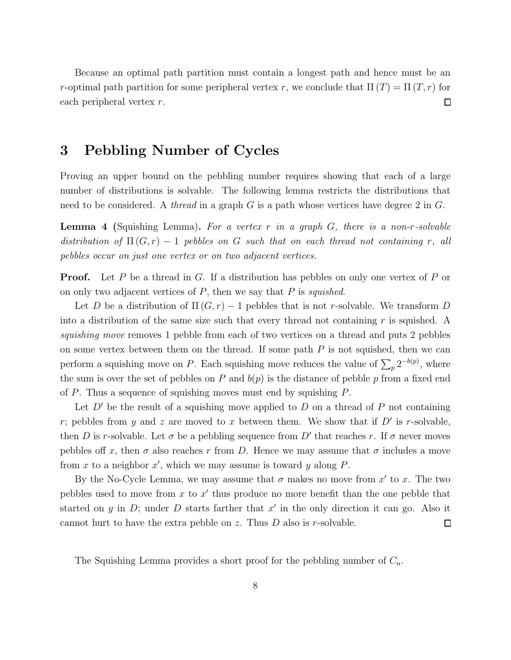Because an optimal path partition must contain a longest path and hence must be an r-optimal path partition for some peripheral vertex r, we conclude that  $\Pi(T) = \Pi(T, r)$  for each peripheral vertex r.  $\Box$ 

### <span id="page-7-0"></span>3 Pebbling Number of Cycles

Proving an upper bound on the pebbling number requires showing that each of a large number of distributions is solvable. The following lemma restricts the distributions that need to be considered. A *thread* in a graph  $G$  is a path whose vertices have degree 2 in  $G$ .

**Lemma 4** (Squishing Lemma). For a vertex r in a graph  $G$ , there is a non-r-solvable distribution of  $\Pi(G, r) - 1$  pebbles on G such that on each thread not containing r, all pebbles occur on just one vertex or on two adjacent vertices.

**Proof.** Let P be a thread in G. If a distribution has pebbles on only one vertex of P or on only two adjacent vertices of  $P$ , then we say that  $P$  is *squished*.

Let D be a distribution of  $\Pi(G, r) - 1$  pebbles that is not r-solvable. We transform D into a distribution of the same size such that every thread not containing  $r$  is squished. A squishing move removes 1 pebble from each of two vertices on a thread and puts 2 pebbles on some vertex between them on the thread. If some path  $P$  is not squished, then we can perform a squishing move on P. Each squishing move reduces the value of  $\sum_{p} 2^{-b(p)}$ , where the sum is over the set of pebbles on P and  $b(p)$  is the distance of pebble p from a fixed end of P. Thus a sequence of squishing moves must end by squishing  $P$ .

Let  $D'$  be the result of a squishing move applied to  $D$  on a thread of  $P$  not containing r; pebbles from y and z are moved to x between them. We show that if  $D'$  is r-solvable, then D is r-solvable. Let  $\sigma$  be a pebbling sequence from D' that reaches r. If  $\sigma$  never moves pebbles off x, then  $\sigma$  also reaches r from D. Hence we may assume that  $\sigma$  includes a move from x to a neighbor  $x'$ , which we may assume is toward y along P.

By the No-Cycle Lemma, we may assume that  $\sigma$  makes no move from  $x'$  to x. The two pebbles used to move from  $x$  to  $x'$  thus produce no more benefit than the one pebble that started on y in D; under D starts farther that  $x'$  in the only direction it can go. Also it cannot hurt to have the extra pebble on z. Thus  $D$  also is r-solvable.  $\Box$ 

The Squishing Lemma provides a short proof for the pebbling number of  $C_n$ .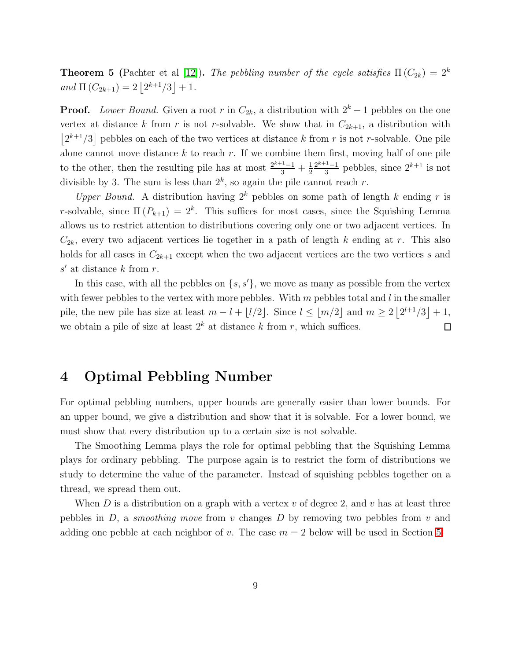**Theorem 5** (Pachter et al [\[12\]](#page-25-5)). The pebbling number of the cycle satisfies  $\Pi(C_{2k}) = 2^k$ and  $\Pi(C_{2k+1}) = 2\left\lfloor 2^{k+1}/3 \right\rfloor + 1$ .

**Proof.** Lower Bound. Given a root r in  $C_{2k}$ , a distribution with  $2^{k} - 1$  pebbles on the one vertex at distance k from r is not r-solvable. We show that in  $C_{2k+1}$ , a distribution with  $\lfloor 2^{k+1}/3 \rfloor$  pebbles on each of the two vertices at distance k from r is not r-solvable. One pile alone cannot move distance  $k$  to reach  $r$ . If we combine them first, moving half of one pile to the other, then the resulting pile has at most  $\frac{2^{k+1}-1}{3} + \frac{1}{2}$ 2  $2^{k+1}-1$  $\frac{1}{3}$  pebbles, since  $2^{k+1}$  is not divisible by 3. The sum is less than  $2^k$ , so again the pile cannot reach r.

Upper Bound. A distribution having  $2^k$  pebbles on some path of length k ending r is r-solvable, since  $\Pi(P_{k+1}) = 2^k$ . This suffices for most cases, since the Squishing Lemma allows us to restrict attention to distributions covering only one or two adjacent vertices. In  $C_{2k}$ , every two adjacent vertices lie together in a path of length k ending at r. This also holds for all cases in  $C_{2k+1}$  except when the two adjacent vertices are the two vertices s and  $s'$  at distance  $k$  from  $r$ .

In this case, with all the pebbles on  $\{s, s'\}$ , we move as many as possible from the vertex with fewer pebbles to the vertex with more pebbles. With  $m$  pebbles total and  $l$  in the smaller pile, the new pile has size at least  $m - l + \lfloor l/2 \rfloor$ . Since  $l \leq \lfloor m/2 \rfloor$  and  $m \geq 2 \lfloor 2^{l+1}/3 \rfloor + 1$ , we obtain a pile of size at least  $2^k$  at distance k from r, which suffices.  $\Box$ 

### 4 Optimal Pebbling Number

For optimal pebbling numbers, upper bounds are generally easier than lower bounds. For an upper bound, we give a distribution and show that it is solvable. For a lower bound, we must show that every distribution up to a certain size is not solvable.

The Smoothing Lemma plays the role for optimal pebbling that the Squishing Lemma plays for ordinary pebbling. The purpose again is to restrict the form of distributions we study to determine the value of the parameter. Instead of squishing pebbles together on a thread, we spread them out.

<span id="page-8-0"></span>When D is a distribution on a graph with a vertex  $v$  of degree 2, and  $v$  has at least three pebbles in  $D$ , a *smoothing move* from  $v$  changes  $D$  by removing two pebbles from  $v$  and adding one pebble at each neighbor of v. The case  $m = 2$  below will be used in Section [5.](#page-13-0)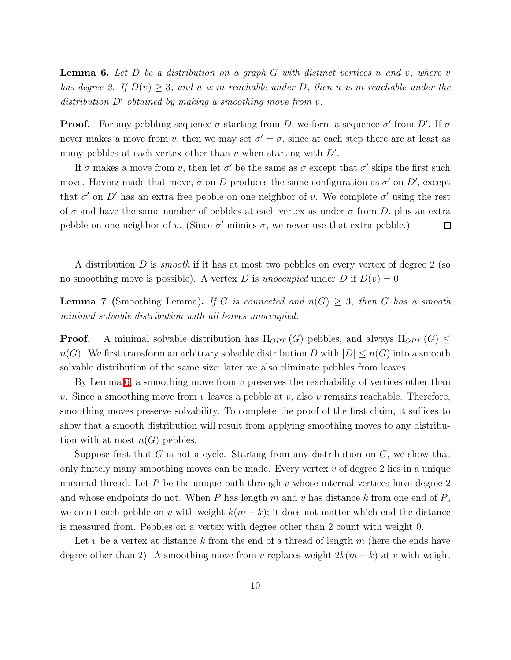**Lemma 6.** Let  $D$  be a distribution on a graph  $G$  with distinct vertices u and v, where v has degree 2. If  $D(v) \geq 3$ , and u is m-reachable under D, then u is m-reachable under the distribution  $D'$  obtained by making a smoothing move from v.

**Proof.** For any pebbling sequence  $\sigma$  starting from D, we form a sequence  $\sigma'$  from D'. If  $\sigma$ never makes a move from v, then we may set  $\sigma' = \sigma$ , since at each step there are at least as many pebbles at each vertex other than  $v$  when starting with  $D'$ .

If  $\sigma$  makes a move from v, then let  $\sigma'$  be the same as  $\sigma$  except that  $\sigma'$  skips the first such move. Having made that move,  $\sigma$  on D produces the same configuration as  $\sigma'$  on D', except that  $\sigma'$  on D' has an extra free pebble on one neighbor of v. We complete  $\sigma'$  using the rest of  $\sigma$  and have the same number of pebbles at each vertex as under  $\sigma$  from D, plus an extra pebble on one neighbor of v. (Since  $\sigma'$  mimics  $\sigma$ , we never use that extra pebble.)  $\Box$ 

<span id="page-9-0"></span>A distribution D is *smooth* if it has at most two pebbles on every vertex of degree 2 (so no smoothing move is possible). A vertex D is unoccupied under D if  $D(v) = 0$ .

**Lemma 7** (Smoothing Lemma). If G is connected and  $n(G) \geq 3$ , then G has a smooth minimal solvable distribution with all leaves unoccupied.

**Proof.** A minimal solvable distribution has  $\Pi_{OPT}(G)$  pebbles, and always  $\Pi_{OPT}(G) \leq$  $n(G)$ . We first transform an arbitrary solvable distribution D with  $|D| \leq n(G)$  into a smooth solvable distribution of the same size; later we also eliminate pebbles from leaves.

By Lemma [6,](#page-8-0) a smoothing move from  $v$  preserves the reachability of vertices other than v. Since a smoothing move from v leaves a pebble at v, also v remains reachable. Therefore, smoothing moves preserve solvability. To complete the proof of the first claim, it suffices to show that a smooth distribution will result from applying smoothing moves to any distribution with at most  $n(G)$  pebbles.

Suppose first that  $G$  is not a cycle. Starting from any distribution on  $G$ , we show that only finitely many smoothing moves can be made. Every vertex  $v$  of degree 2 lies in a unique maximal thread. Let P be the unique path through v whose internal vertices have degree 2 and whose endpoints do not. When  $P$  has length  $m$  and  $v$  has distance  $k$  from one end of  $P$ , we count each pebble on v with weight  $k(m - k)$ ; it does not matter which end the distance is measured from. Pebbles on a vertex with degree other than 2 count with weight 0.

Let v be a vertex at distance k from the end of a thread of length  $m$  (here the ends have degree other than 2). A smoothing move from v replaces weight  $2k(m - k)$  at v with weight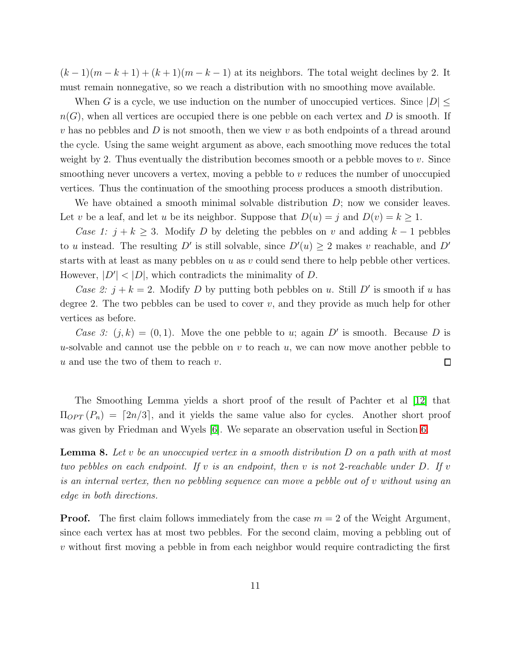$(k-1)(m-k+1) + (k+1)(m-k-1)$  at its neighbors. The total weight declines by 2. It must remain nonnegative, so we reach a distribution with no smoothing move available.

When G is a cycle, we use induction on the number of unoccupied vertices. Since  $|D| \leq$  $n(G)$ , when all vertices are occupied there is one pebble on each vertex and D is smooth. If v has no pebbles and D is not smooth, then we view v as both endpoints of a thread around the cycle. Using the same weight argument as above, each smoothing move reduces the total weight by 2. Thus eventually the distribution becomes smooth or a pebble moves to  $v$ . Since smoothing never uncovers a vertex, moving a pebble to v reduces the number of unoccupied vertices. Thus the continuation of the smoothing process produces a smooth distribution.

We have obtained a smooth minimal solvable distribution  $D$ ; now we consider leaves. Let v be a leaf, and let u be its neighbor. Suppose that  $D(u) = j$  and  $D(v) = k \ge 1$ .

Case 1:  $j + k \geq 3$ . Modify D by deleting the pebbles on v and adding  $k - 1$  pebbles to u instead. The resulting D' is still solvable, since  $D'(u) \geq 2$  makes v reachable, and D' starts with at least as many pebbles on  $u$  as  $v$  could send there to help pebble other vertices. However,  $|D'| < |D|$ , which contradicts the minimality of D.

Case 2:  $j + k = 2$ . Modify D by putting both pebbles on u. Still D' is smooth if u has degree 2. The two pebbles can be used to cover  $v$ , and they provide as much help for other vertices as before.

Case 3:  $(j, k) = (0, 1)$ . Move the one pebble to u; again D' is smooth. Because D is u-solvable and cannot use the pebble on v to reach  $u$ , we can now move another pebble to u and use the two of them to reach  $v$ .  $\Box$ 

The Smoothing Lemma yields a short proof of the result of Pachter et al [\[12\]](#page-25-5) that  $\Pi_{OPT}(P_n) = [2n/3]$ , and it yields the same value also for cycles. Another short proof was given by Friedman and Wyels [\[6\]](#page-25-8). We separate an observation useful in Section [6.](#page-19-0)

<span id="page-10-0"></span>**Lemma 8.** Let v be an unoccupied vertex in a smooth distribution  $D$  on a path with at most two pebbles on each endpoint. If  $v$  is an endpoint, then  $v$  is not 2-reachable under  $D$ . If  $v$ is an internal vertex, then no pebbling sequence can move a pebble out of v without using an edge in both directions.

**Proof.** The first claim follows immediately from the case  $m = 2$  of the Weight Argument, since each vertex has at most two pebbles. For the second claim, moving a pebbling out of v without first moving a pebble in from each neighbor would require contradicting the first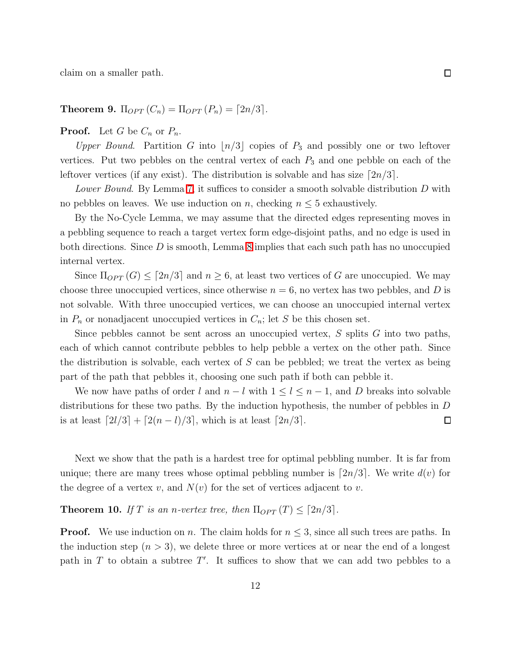<span id="page-11-1"></span>claim on a smaller path.

Theorem 9.  $\Pi_{OPT}(C_n) = \Pi_{OPT}(P_n) = [2n/3]$ .

**Proof.** Let G be  $C_n$  or  $P_n$ .

Upper Bound. Partition G into  $\lfloor n/3 \rfloor$  copies of  $P_3$  and possibly one or two leftover vertices. Put two pebbles on the central vertex of each  $P_3$  and one pebble on each of the leftover vertices (if any exist). The distribution is solvable and has size  $\lceil 2n/3 \rceil$ .

Lower Bound. By Lemma [7,](#page-9-0) it suffices to consider a smooth solvable distribution D with no pebbles on leaves. We use induction on n, checking  $n \leq 5$  exhaustively.

By the No-Cycle Lemma, we may assume that the directed edges representing moves in a pebbling sequence to reach a target vertex form edge-disjoint paths, and no edge is used in both directions. Since  $D$  is smooth, Lemma [8](#page-10-0) implies that each such path has no unoccupied internal vertex.

Since  $\Pi_{OPT}(G) \leq [2n/3]$  and  $n \geq 6$ , at least two vertices of G are unoccupied. We may choose three unoccupied vertices, since otherwise  $n = 6$ , no vertex has two pebbles, and D is not solvable. With three unoccupied vertices, we can choose an unoccupied internal vertex in  $P_n$  or nonadjacent unoccupied vertices in  $C_n$ ; let S be this chosen set.

Since pebbles cannot be sent across an unoccupied vertex,  $S$  splits  $G$  into two paths, each of which cannot contribute pebbles to help pebble a vertex on the other path. Since the distribution is solvable, each vertex of  $S$  can be pebbled; we treat the vertex as being part of the path that pebbles it, choosing one such path if both can pebble it.

We now have paths of order l and  $n - l$  with  $1 \leq l \leq n - 1$ , and D breaks into solvable distributions for these two paths. By the induction hypothesis, the number of pebbles in D is at least  $\lceil 2l/3 \rceil + \lceil 2(n-l)/3 \rceil$ , which is at least  $\lceil 2n/3 \rceil$ .  $\Box$ 

Next we show that the path is a hardest tree for optimal pebbling number. It is far from unique; there are many trees whose optimal pebbling number is  $[2n/3]$ . We write  $d(v)$  for the degree of a vertex v, and  $N(v)$  for the set of vertices adjacent to v.

#### <span id="page-11-0"></span>**Theorem 10.** If T is an n-vertex tree, then  $\Pi_{OPT}(T) \leq [2n/3]$ .

**Proof.** We use induction on n. The claim holds for  $n \leq 3$ , since all such trees are paths. In the induction step  $(n > 3)$ , we delete three or more vertices at or near the end of a longest path in  $T$  to obtain a subtree  $T'$ . It suffices to show that we can add two pebbles to a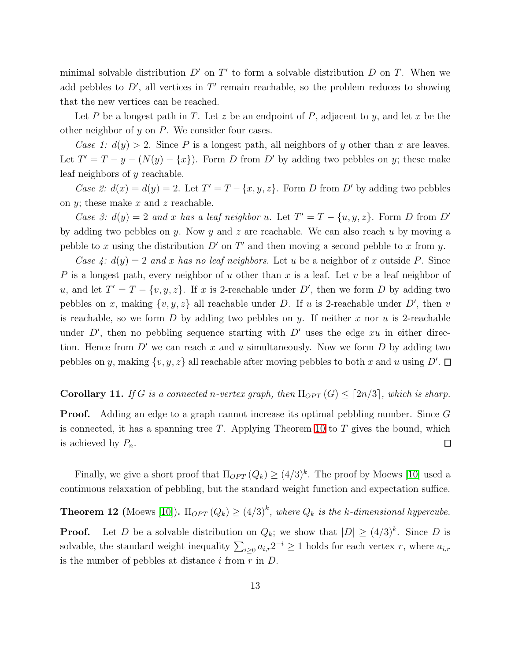minimal solvable distribution  $D'$  on  $T'$  to form a solvable distribution  $D$  on  $T$ . When we add pebbles to  $D'$ , all vertices in  $T'$  remain reachable, so the problem reduces to showing that the new vertices can be reached.

Let P be a longest path in T. Let z be an endpoint of P, adjacent to y, and let x be the other neighbor of  $y$  on  $P$ . We consider four cases.

Case 1:  $d(y) > 2$ . Since P is a longest path, all neighbors of y other than x are leaves. Let  $T' = T - y - (N(y) - \{x\})$ . Form D from D' by adding two pebbles on y; these make leaf neighbors of y reachable.

Case 2:  $d(x) = d(y) = 2$ . Let  $T' = T - \{x, y, z\}$ . Form D from D' by adding two pebbles on  $y$ ; these make  $x$  and  $z$  reachable.

Case 3:  $d(y) = 2$  and x has a leaf neighbor u. Let  $T' = T - \{u, y, z\}$ . Form D from D' by adding two pebbles on y. Now y and z are reachable. We can also reach u by moving a pebble to x using the distribution  $D'$  on  $T'$  and then moving a second pebble to x from y.

Case 4:  $d(y) = 2$  and x has no leaf neighbors. Let u be a neighbor of x outside P. Since P is a longest path, every neighbor of u other than x is a leaf. Let v be a leaf neighbor of u, and let  $T' = T - \{v, y, z\}$ . If x is 2-reachable under D', then we form D by adding two pebbles on x, making  $\{v, y, z\}$  all reachable under D. If u is 2-reachable under D', then v is reachable, so we form D by adding two pebbles on y. If neither x nor u is 2-reachable under  $D'$ , then no pebbling sequence starting with  $D'$  uses the edge  $xu$  in either direction. Hence from  $D'$  we can reach x and u simultaneously. Now we form  $D$  by adding two pebbles on y, making  $\{v, y, z\}$  all reachable after moving pebbles to both x and u using  $D'$ .

### <span id="page-12-0"></span>Corollary 11. If G is a connected n-vertex graph, then  $\Pi_{OPT}(G) \leq [2n/3]$ , which is sharp.

**Proof.** Adding an edge to a graph cannot increase its optimal pebbling number. Since G is connected, it has a spanning tree T. Applying Theorem [10](#page-11-0) to  $T$  gives the bound, which is achieved by  $P_n$ .  $\Box$ 

Finally, we give a short proof that  $\Pi_{OPT}(Q_k) \geq (4/3)^k$ . The proof by Moews [\[10\]](#page-25-7) used a continuous relaxation of pebbling, but the standard weight function and expectation suffice.

**Theorem 12** (Moews [\[10\]](#page-25-7)).  $\Pi_{OPT}(Q_k) \geq (4/3)^k$ , where  $Q_k$  is the k-dimensional hypercube.

**Proof.** Let D be a solvable distribution on  $Q_k$ ; we show that  $|D| \geq (4/3)^k$ . Since D is solvable, the standard weight inequality  $\sum_{i\geq 0} a_{i,r} 2^{-i} \geq 1$  holds for each vertex r, where  $a_{i,r}$ is the number of pebbles at distance i from  $r$  in  $D$ .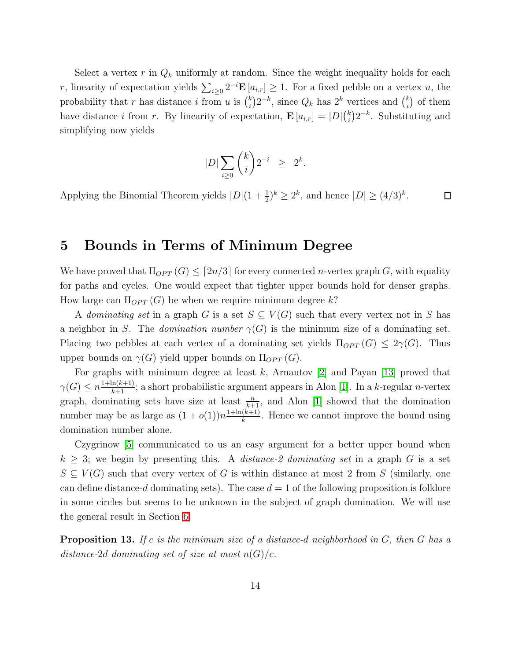Select a vertex r in  $Q_k$  uniformly at random. Since the weight inequality holds for each r, linearity of expectation yields  $\sum_{i\geq 0} 2^{-i} \mathbf{E} [a_{i,r}] \geq 1$ . For a fixed pebble on a vertex u, the probability that r has distance i from u is  $\binom{k}{i}$  $k_i^k$  $(2^{-k}, \text{ since } Q_k \text{ has } 2^k \text{ vertices and } {k_i \choose i}$  $\binom{k}{i}$  of them have distance i from r. By linearity of expectation,  $\mathbf{E}\left[a_{i,r}\right] = |D|\binom{k}{i}$  $\binom{k}{i} 2^{-k}$ . Substituting and simplifying now yields

$$
|D|\sum_{i\geq 0} \binom{k}{i} 2^{-i} \ \geq \ 2^k
$$

.

Applying the Binomial Theorem yields  $|D|(1+\frac{1}{2})^k \geq 2^k$ , and hence  $|D| \geq (4/3)^k$ .  $\Box$ 

### <span id="page-13-0"></span>5 Bounds in Terms of Minimum Degree

We have proved that  $\Pi_{OPT}(G) \leq [2n/3]$  for every connected *n*-vertex graph G, with equality for paths and cycles. One would expect that tighter upper bounds hold for denser graphs. How large can  $\Pi_{OPT}(G)$  be when we require minimum degree k?

A dominating set in a graph G is a set  $S \subseteq V(G)$  such that every vertex not in S has a neighbor in S. The *domination number*  $\gamma(G)$  is the minimum size of a dominating set. Placing two pebbles at each vertex of a dominating set yields  $\Pi_{OPT}(G) \leq 2\gamma(G)$ . Thus upper bounds on  $\gamma(G)$  yield upper bounds on  $\Pi_{OPT}(G)$ .

For graphs with minimum degree at least k, Arnautov  $[2]$  and Payan  $[13]$  proved that  $\gamma(G) \leq n \frac{1 + \ln(k+1)}{k+1}$ ; a short probabilistic argument appears in Alon [\[1\]](#page-25-12). In a k-regular *n*-vertex graph, dominating sets have size at least  $\frac{n}{k+1}$ , and Alon [\[1\]](#page-25-12) showed that the domination number may be as large as  $(1+o(1))n\frac{1+\ln(k+1)}{k}$  $\frac{(k+1)}{k}$ . Hence we cannot improve the bound using domination number alone.

Czygrinow [\[5\]](#page-25-9) communicated to us an easy argument for a better upper bound when  $k \geq 3$ ; we begin by presenting this. A *distance-2 dominating set* in a graph G is a set  $S \subseteq V(G)$  such that every vertex of G is within distance at most 2 from S (similarly, one can define distance-d dominating sets). The case  $d = 1$  of the following proposition is folklore in some circles but seems to be unknown in the subject of graph domination. We will use the general result in Section [6.](#page-19-0)

<span id="page-13-1"></span>**Proposition 13.** If c is the minimum size of a distance-d neighborhood in  $G$ , then  $G$  has a distance-2d dominating set of size at most  $n(G)/c$ .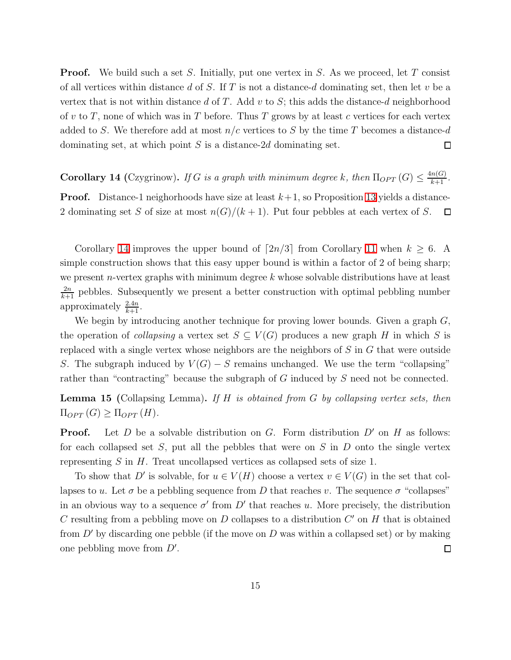**Proof.** We build such a set S. Initially, put one vertex in S. As we proceed, let T consist of all vertices within distance  $d$  of  $S$ . If  $T$  is not a distance- $d$  dominating set, then let  $v$  be a vertex that is not within distance d of T. Add v to S; this adds the distance-d neighborhood of v to T, none of which was in T before. Thus T grows by at least c vertices for each vertex added to S. We therefore add at most  $n/c$  vertices to S by the time T becomes a distance-d dominating set, at which point  $S$  is a distance-2d dominating set.  $\Box$ 

<span id="page-14-0"></span>**Corollary 14** (Czygrinow). If G is a graph with minimum degree k, then  $\Pi_{OPT}(G) \leq \frac{4n(G)}{k+1}$ .

**Proof.** Distance-1 neighorhoods have size at least  $k+1$ , so Proposition [13](#page-13-1) yields a distance-2 dominating set S of size at most  $n(G)/(k+1)$ . Put four pebbles at each vertex of S.  $\Box$ 

Corollary [14](#page-14-0) improves the upper bound of  $[2n/3]$  from Corollary [11](#page-12-0) when  $k \geq 6$ . A simple construction shows that this easy upper bound is within a factor of 2 of being sharp; we present *n*-vertex graphs with minimum degree  $k$  whose solvable distributions have at least  $\frac{2n}{k+1}$  pebbles. Subsequently we present a better construction with optimal pebbling number approximately  $\frac{2.4n}{k+1}$ .

We begin by introducing another technique for proving lower bounds. Given a graph  $G$ , the operation of collapsing a vertex set  $S \subseteq V(G)$  produces a new graph H in which S is replaced with a single vertex whose neighbors are the neighbors of S in G that were outside S. The subgraph induced by  $V(G) - S$  remains unchanged. We use the term "collapsing" rather than "contracting" because the subgraph of G induced by S need not be connected.

<span id="page-14-1"></span>**Lemma 15** (Collapsing Lemma). If  $H$  is obtained from  $G$  by collapsing vertex sets, then  $\Pi_{OPT}(G) \geq \Pi_{OPT}(H)$ .

**Proof.** Let D be a solvable distribution on G. Form distribution  $D'$  on H as follows: for each collapsed set  $S$ , put all the pebbles that were on  $S$  in  $D$  onto the single vertex representing  $S$  in  $H$ . Treat uncollapsed vertices as collapsed sets of size 1.

<span id="page-14-2"></span>To show that D' is solvable, for  $u \in V(H)$  choose a vertex  $v \in V(G)$  in the set that collapses to u. Let  $\sigma$  be a pebbling sequence from D that reaches v. The sequence  $\sigma$  "collapses" in an obvious way to a sequence  $\sigma'$  from  $D'$  that reaches u. More precisely, the distribution C resulting from a pebbling move on  $D$  collapses to a distribution  $C'$  on  $H$  that is obtained from  $D'$  by discarding one pebble (if the move on D was within a collapsed set) or by making one pebbling move from  $D'$ .  $\Box$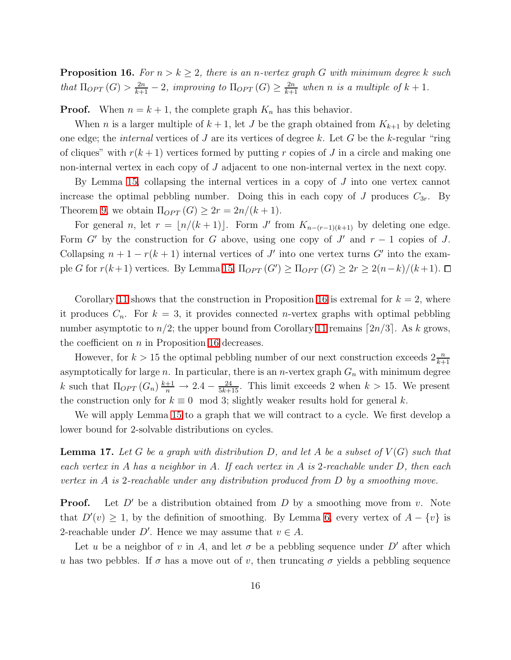**Proposition 16.** For  $n > k \geq 2$ , there is an n-vertex graph G with minimum degree k such that  $\Pi_{OPT}(G) > \frac{2n}{k+1} - 2$ , improving to  $\Pi_{OPT}(G) \ge \frac{2n}{k+1}$  when n is a multiple of  $k+1$ .

**Proof.** When  $n = k + 1$ , the complete graph  $K_n$  has this behavior.

When *n* is a larger multiple of  $k + 1$ , let *J* be the graph obtained from  $K_{k+1}$  by deleting one edge; the *internal* vertices of J are its vertices of degree k. Let G be the k-regular "ring" of cliques" with  $r(k+1)$  vertices formed by putting r copies of J in a circle and making one non-internal vertex in each copy of J adjacent to one non-internal vertex in the next copy.

By Lemma [15,](#page-14-1) collapsing the internal vertices in a copy of J into one vertex cannot increase the optimal pebbling number. Doing this in each copy of J produces  $C_{3r}$ . By Theorem [9,](#page-11-1) we obtain  $\Pi_{OPT}(G) \geq 2r = 2n/(k+1)$ .

For general n, let  $r = \lfloor n/(k+1) \rfloor$ . Form J' from  $K_{n-(r-1)(k+1)}$  by deleting one edge. Form  $G'$  by the construction for G above, using one copy of  $J'$  and  $r-1$  copies of  $J$ . Collapsing  $n + 1 - r(k + 1)$  internal vertices of J' into one vertex turns G' into the example G for  $r(k+1)$  vertices. By Lemma [15,](#page-14-1)  $\Pi_{OPT}(G') \geq \Pi_{OPT}(G) \geq 2r \geq 2(n-k)/(k+1)$ .

Corollary [11](#page-12-0) shows that the construction in Proposition [16](#page-14-2) is extremal for  $k = 2$ , where it produces  $C_n$ . For  $k = 3$ , it provides connected *n*-vertex graphs with optimal pebbling number asymptotic to  $n/2$ ; the upper bound from Corollary [11](#page-12-0) remains [2n/3]. As k grows, the coefficient on  $n$  in Proposition [16](#page-14-2) decreases.

However, for  $k > 15$  the optimal pebbling number of our next construction exceeds  $2\frac{n}{k+1}$ asymptotically for large n. In particular, there is an n-vertex graph  $G_n$  with minimum degree k such that  $\Pi_{OPT}(G_n) \frac{k+1}{n} \to 2.4 - \frac{24}{5k+15}$ . This limit exceeds 2 when  $k > 15$ . We present the construction only for  $k \equiv 0 \mod 3$ ; slightly weaker results hold for general k.

<span id="page-15-0"></span>We will apply Lemma [15](#page-14-1) to a graph that we will contract to a cycle. We first develop a lower bound for 2-solvable distributions on cycles.

**Lemma 17.** Let G be a graph with distribution D, and let A be a subset of  $V(G)$  such that each vertex in A has a neighbor in A. If each vertex in A is 2-reachable under D, then each vertex in A is 2-reachable under any distribution produced from D by a smoothing move.

**Proof.** Let  $D'$  be a distribution obtained from D by a smoothing move from v. Note that  $D'(v) \geq 1$ , by the definition of smoothing. By Lemma [6,](#page-8-0) every vertex of  $A - \{v\}$  is 2-reachable under D'. Hence we may assume that  $v \in A$ .

Let u be a neighbor of v in A, and let  $\sigma$  be a pebbling sequence under D' after which u has two pebbles. If  $\sigma$  has a move out of v, then truncating  $\sigma$  yields a pebbling sequence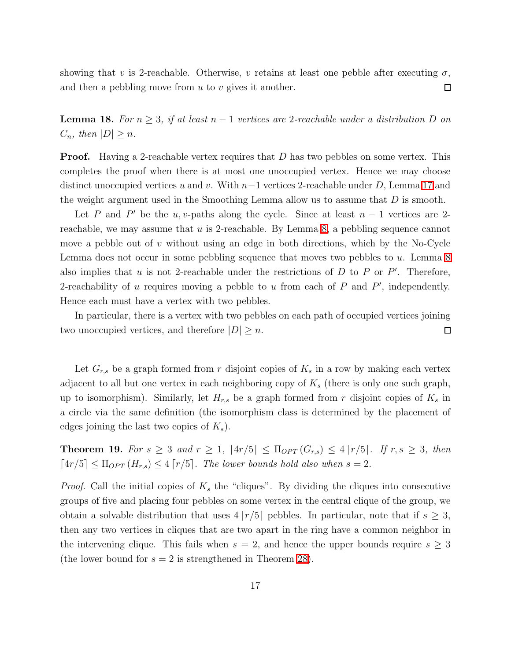<span id="page-16-0"></span>showing that v is 2-reachable. Otherwise, v retains at least one pebble after executing  $\sigma$ , and then a pebbling move from  $u$  to  $v$  gives it another.  $\Box$ 

**Lemma 18.** For  $n \geq 3$ , if at least  $n-1$  vertices are 2-reachable under a distribution D on  $C_n$ , then  $|D| \geq n$ .

**Proof.** Having a 2-reachable vertex requires that  $D$  has two pebbles on some vertex. This completes the proof when there is at most one unoccupied vertex. Hence we may choose distinct unoccupied vertices u and v. With  $n-1$  vertices 2-reachable under D, Lemma [17](#page-15-0) and the weight argument used in the Smoothing Lemma allow us to assume that  $D$  is smooth.

Let P and P' be the u, v-paths along the cycle. Since at least  $n-1$  vertices are 2reachable, we may assume that  $u$  is 2-reachable. By Lemma [8,](#page-10-0) a pebbling sequence cannot move a pebble out of  $v$  without using an edge in both directions, which by the No-Cycle Lemma does not occur in some pebbling sequence that moves two pebbles to u. Lemma [8](#page-10-0) also implies that  $u$  is not 2-reachable under the restrictions of  $D$  to  $P$  or  $P'$ . Therefore, 2-reachability of  $u$  requires moving a pebble to  $u$  from each of  $P$  and  $P'$ , independently. Hence each must have a vertex with two pebbles.

In particular, there is a vertex with two pebbles on each path of occupied vertices joining two unoccupied vertices, and therefore  $|D| \geq n$ .  $\Box$ 

Let  $G_{r,s}$  be a graph formed from r disjoint copies of  $K_s$  in a row by making each vertex adjacent to all but one vertex in each neighboring copy of  $K_s$  (there is only one such graph, up to isomorphism). Similarly, let  $H_{r,s}$  be a graph formed from r disjoint copies of  $K_s$  in a circle via the same definition (the isomorphism class is determined by the placement of edges joining the last two copies of  $K_s$ ).

<span id="page-16-1"></span>**Theorem 19.** For  $s \geq 3$  and  $r \geq 1$ ,  $[4r/5] \leq \Pi_{OPT}(G_{r,s}) \leq 4[r/5]$ . If  $r, s \geq 3$ , then  $\lceil 4r/5 \rceil \leq \Pi_{OPT}(H_{r,s}) \leq 4 \lceil r/5 \rceil$ . The lower bounds hold also when  $s = 2$ .

*Proof.* Call the initial copies of  $K_s$  the "cliques". By dividing the cliques into consecutive groups of five and placing four pebbles on some vertex in the central clique of the group, we obtain a solvable distribution that uses  $4\lceil r/5 \rceil$  pebbles. In particular, note that if  $s \geq 3$ , then any two vertices in cliques that are two apart in the ring have a common neighbor in the intervening clique. This fails when  $s = 2$ , and hence the upper bounds require  $s \geq 3$ (the lower bound for  $s = 2$  is strengthened in Theorem [28\)](#page-23-0).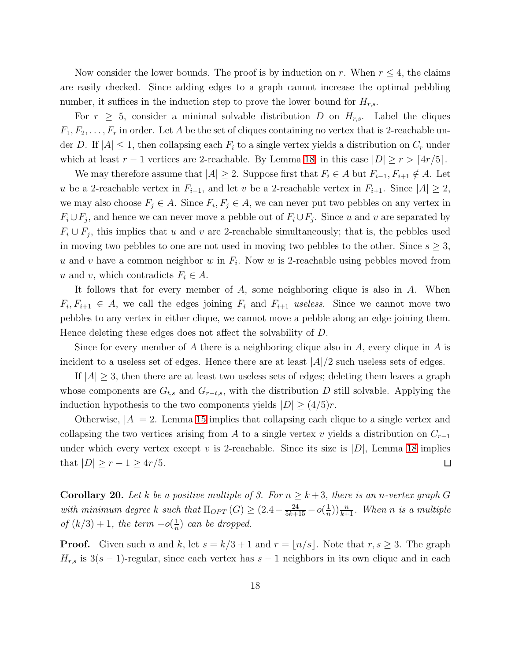Now consider the lower bounds. The proof is by induction on r. When  $r \leq 4$ , the claims are easily checked. Since adding edges to a graph cannot increase the optimal pebbling number, it suffices in the induction step to prove the lower bound for  $H_{r,s}$ .

For  $r \geq 5$ , consider a minimal solvable distribution D on  $H_{r,s}$ . Label the cliques  $F_1, F_2, \ldots, F_r$  in order. Let A be the set of cliques containing no vertex that is 2-reachable under D. If  $|A| \leq 1$ , then collapsing each  $F_i$  to a single vertex yields a distribution on  $C_r$  under which at least  $r - 1$  vertices are 2-reachable. By Lemma [18,](#page-16-0) in this case  $|D| \geq r > \lceil 4r/5 \rceil$ .

We may therefore assume that  $|A| \geq 2$ . Suppose first that  $F_i \in A$  but  $F_{i-1}, F_{i+1} \notin A$ . Let u be a 2-reachable vertex in  $F_{i-1}$ , and let v be a 2-reachable vertex in  $F_{i+1}$ . Since  $|A| \geq 2$ , we may also choose  $F_j \in A$ . Since  $F_i, F_j \in A$ , we can never put two pebbles on any vertex in  $F_i \cup F_j$ , and hence we can never move a pebble out of  $F_i \cup F_j$ . Since u and v are separated by  $F_i \cup F_j$ , this implies that u and v are 2-reachable simultaneously; that is, the pebbles used in moving two pebbles to one are not used in moving two pebbles to the other. Since  $s \geq 3$ , u and v have a common neighbor w in  $F_i$ . Now w is 2-reachable using pebbles moved from u and v, which contradicts  $F_i \in A$ .

It follows that for every member of  $A$ , some neighboring clique is also in  $A$ . When  $F_i, F_{i+1} \in A$ , we call the edges joining  $F_i$  and  $F_{i+1}$  useless. Since we cannot move two pebbles to any vertex in either clique, we cannot move a pebble along an edge joining them. Hence deleting these edges does not affect the solvability of D.

Since for every member of A there is a neighboring clique also in A, every clique in A is incident to a useless set of edges. Hence there are at least  $|A|/2$  such useless sets of edges.

If  $|A| \geq 3$ , then there are at least two useless sets of edges; deleting them leaves a graph whose components are  $G_{t,s}$  and  $G_{r-t,s}$ , with the distribution D still solvable. Applying the induction hypothesis to the two components yields  $|D| \geq (4/5)r$ .

Otherwise,  $|A| = 2$ . Lemma [15](#page-14-1) implies that collapsing each clique to a single vertex and collapsing the two vertices arising from A to a single vertex v yields a distribution on  $C_{r-1}$ under which every vertex except v is 2-reachable. Since its size is  $|D|$ , Lemma [18](#page-16-0) implies that  $|D| \ge r - 1 \ge 4r/5$ .  $\Box$ 

<span id="page-17-0"></span>**Corollary 20.** Let k be a positive multiple of 3. For  $n \geq k+3$ , there is an n-vertex graph G with minimum degree k such that  $\Pi_{OPT}(G) \geq (2.4 - \frac{24}{5k+15} - o(\frac{1}{n}))$  $(\frac{1}{n})\frac{n}{k+1}$ . When n is a multiple  $of (k/3) + 1, the term −o(\frac{1}{n})$  $\frac{1}{n}$ ) can be dropped.

**Proof.** Given such n and k, let  $s = k/3 + 1$  and  $r = \lfloor n/s \rfloor$ . Note that  $r, s \geq 3$ . The graph  $H_{r,s}$  is 3(s – 1)-regular, since each vertex has s – 1 neighbors in its own clique and in each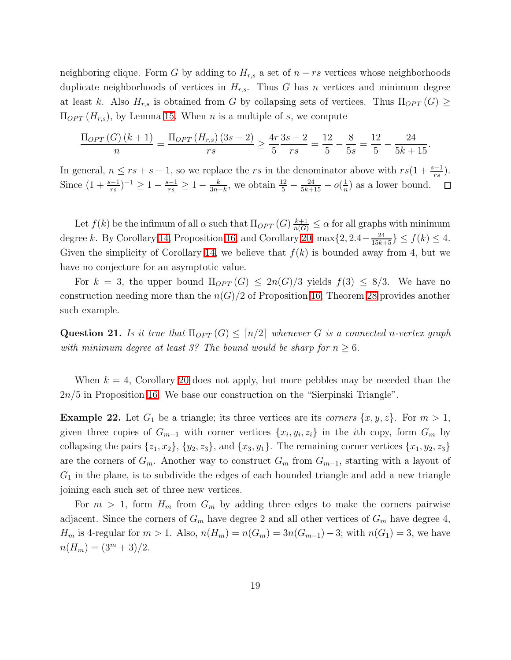neighboring clique. Form G by adding to  $H_{r,s}$  a set of  $n - rs$  vertices whose neighborhoods duplicate neighborhoods of vertices in  $H_{r,s}$ . Thus G has n vertices and minimum degree at least k. Also  $H_{r,s}$  is obtained from G by collapsing sets of vertices. Thus  $\Pi_{OPT}(G) \ge$  $\Pi_{OPT}(H_{r,s}),$  by Lemma [15.](#page-14-1) When *n* is a multiple of *s*, we compute

$$
\frac{\Pi_{OPT}(G)(k+1)}{n} = \frac{\Pi_{OPT}(H_{r,s})(3s-2)}{rs} \ge \frac{4r}{5}\frac{3s-2}{rs} = \frac{12}{5} - \frac{8}{5s} = \frac{12}{5} - \frac{24}{5k+15}.
$$

In general,  $n \le rs + s - 1$ , so we replace the rs in the denominator above with  $rs(1 + \frac{s-1}{rs})$ . Since  $(1+\frac{s-1}{rs})^{-1} \geq 1-\frac{s-1}{rs} \geq 1-\frac{k}{3n-1}$  $\frac{k}{3n-k}$ , we obtain  $\frac{12}{5} - \frac{24}{5k+15} - o(\frac{1}{n})$  $\frac{1}{n}$ ) as a lower bound.

Let  $f(k)$  be the infimum of all  $\alpha$  such that  $\Pi_{OPT}(G) \frac{k+1}{n(G)} \leq \alpha$  for all graphs with minimum degree k. By Corollary [14,](#page-14-0) Proposition [16,](#page-14-2) and Corollary [20,](#page-17-0)  $\max\{2, 2.4 - \frac{24}{15k+5}\}\leq f(k) \leq 4$ . Given the simplicity of Corollary [14,](#page-14-0) we believe that  $f(k)$  is bounded away from 4, but we have no conjecture for an asymptotic value.

For  $k = 3$ , the upper bound  $\Pi_{OPT}(G) \leq 2n(G)/3$  yields  $f(3) \leq 8/3$ . We have no construction needing more than the  $n(G)/2$  of Proposition [16;](#page-14-2) Theorem [28](#page-23-0) provides another such example.

**Question 21.** Is it true that  $\Pi_{OPT}(G) \leq \lceil n/2 \rceil$  whenever G is a connected n-vertex graph with minimum degree at least 3? The bound would be sharp for  $n \geq 6$ .

When  $k = 4$ , Corollary [20](#page-17-0) does not apply, but more pebbles may be needed than the 2n/5 in Proposition [16.](#page-14-2) We base our construction on the "Sierpinski Triangle".

**Example 22.** Let  $G_1$  be a triangle; its three vertices are its corners  $\{x, y, z\}$ . For  $m > 1$ , given three copies of  $G_{m-1}$  with corner vertices  $\{x_i, y_i, z_i\}$  in the *i*th copy, form  $G_m$  by collapsing the pairs  $\{z_1, x_2\}$ ,  $\{y_2, z_3\}$ , and  $\{x_3, y_1\}$ . The remaining corner vertices  $\{x_1, y_2, z_3\}$ are the corners of  $G_m$ . Another way to construct  $G_m$  from  $G_{m-1}$ , starting with a layout of  $G_1$  in the plane, is to subdivide the edges of each bounded triangle and add a new triangle joining each such set of three new vertices.

For  $m > 1$ , form  $H_m$  from  $G_m$  by adding three edges to make the corners pairwise adjacent. Since the corners of  $G_m$  have degree 2 and all other vertices of  $G_m$  have degree 4,  $H_m$  is 4-regular for  $m > 1$ . Also,  $n(H_m) = n(G_m) = 3n(G_{m-1}) - 3$ ; with  $n(G_1) = 3$ , we have  $n(H_m) = (3<sup>m</sup> + 3)/2.$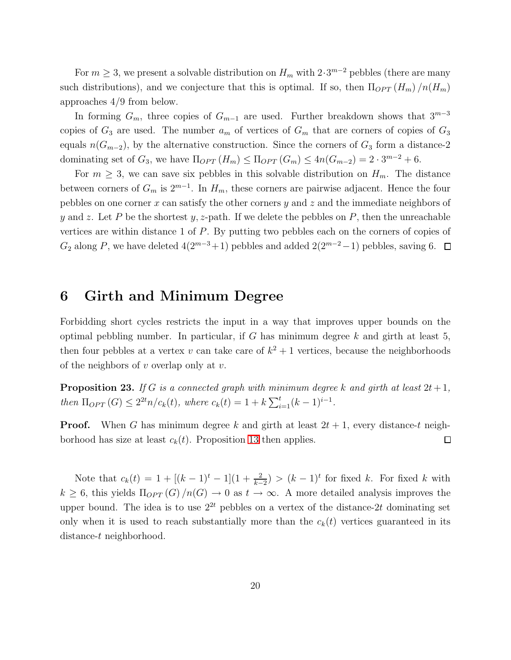For  $m \geq 3$ , we present a solvable distribution on  $H_m$  with  $2 \cdot 3^{m-2}$  pebbles (there are many such distributions), and we conjecture that this is optimal. If so, then  $\Pi_{OPT}(H_m)/n(H_m)$ approaches 4/9 from below.

In forming  $G_m$ , three copies of  $G_{m-1}$  are used. Further breakdown shows that  $3^{m-3}$ copies of  $G_3$  are used. The number  $a_m$  of vertices of  $G_m$  that are corners of copies of  $G_3$ equals  $n(G_{m-2})$ , by the alternative construction. Since the corners of  $G_3$  form a distance-2 dominating set of  $G_3$ , we have  $\Pi_{OPT}(H_m) \leq \Pi_{OPT}(G_m) \leq 4n(G_{m-2}) = 2 \cdot 3^{m-2} + 6$ .

For  $m \geq 3$ , we can save six pebbles in this solvable distribution on  $H_m$ . The distance between corners of  $G_m$  is  $2^{m-1}$ . In  $H_m$ , these corners are pairwise adjacent. Hence the four pebbles on one corner x can satisfy the other corners  $y$  and  $z$  and the immediate neighbors of y and z. Let P be the shortest y, z-path. If we delete the pebbles on P, then the unreachable vertices are within distance 1 of P. By putting two pebbles each on the corners of copies of  $G_2$  along P, we have deleted  $4(2^{m-3}+1)$  pebbles and added  $2(2^{m-2}-1)$  pebbles, saving 6. □

### <span id="page-19-0"></span>6 Girth and Minimum Degree

Forbidding short cycles restricts the input in a way that improves upper bounds on the optimal pebbling number. In particular, if  $G$  has minimum degree  $k$  and girth at least 5, then four pebbles at a vertex v can take care of  $k^2 + 1$  vertices, because the neighborhoods of the neighbors of  $v$  overlap only at  $v$ .

<span id="page-19-1"></span>**Proposition 23.** If G is a connected graph with minimum degree k and girth at least  $2t+1$ , then  $\Pi_{OPT}(G) \leq 2^{2t} n / c_k(t)$ , where  $c_k(t) = 1 + k \sum_{i=1}^{t} (k-1)^{i-1}$ .

**Proof.** When G has minimum degree k and girth at least  $2t + 1$ , every distance-t neighborhood has size at least  $c_k(t)$ . Proposition [13](#page-13-1) then applies.  $\Box$ 

<span id="page-19-2"></span>Note that  $c_k(t) = 1 + [(k-1)^t - 1](1 + \frac{2}{k-2}) > (k-1)^t$  for fixed k. For fixed k with  $k \geq 6$ , this yields  $\Pi_{OPT}(G)/n(G) \to 0$  as  $t \to \infty$ . A more detailed analysis improves the upper bound. The idea is to use  $2^{2t}$  pebbles on a vertex of the distance-2t dominating set only when it is used to reach substantially more than the  $c_k(t)$  vertices guaranteed in its distance-t neighborhood.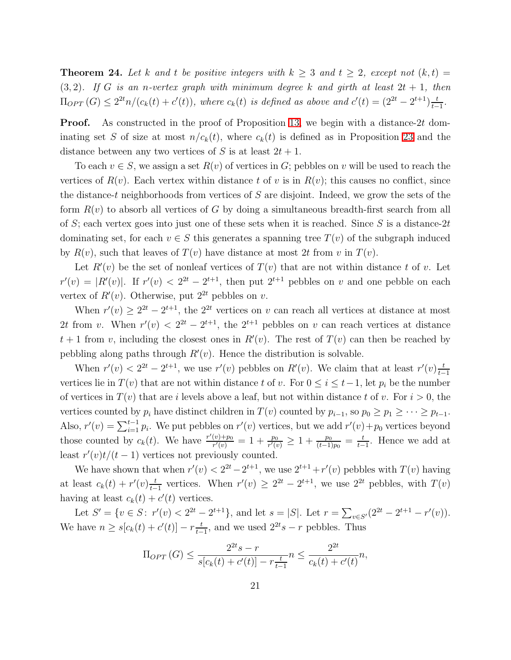**Theorem 24.** Let k and t be positive integers with  $k \geq 3$  and  $t \geq 2$ , except not  $(k, t)$  =  $(3, 2)$ . If G is an n-vertex graph with minimum degree k and girth at least  $2t + 1$ , then  $\Pi_{OPT}(G) \leq 2^{2t}n/(c_k(t) + c'(t)),$  where  $c_k(t)$  is defined as above and  $c'(t) = (2^{2t} - 2^{t+1})\frac{t}{t-1}$  $\frac{t}{t-1}$ .

**Proof.** As constructed in the proof of Proposition [13,](#page-13-1) we begin with a distance-2t dominating set S of size at most  $n/c_k(t)$ , where  $c_k(t)$  is defined as in Proposition [23](#page-19-1) and the distance between any two vertices of S is at least  $2t + 1$ .

To each  $v \in S$ , we assign a set  $R(v)$  of vertices in G; pebbles on v will be used to reach the vertices of  $R(v)$ . Each vertex within distance t of v is in  $R(v)$ ; this causes no conflict, since the distance-t neighborhoods from vertices of  $S$  are disjoint. Indeed, we grow the sets of the form  $R(v)$  to absorb all vertices of G by doing a simultaneous breadth-first search from all of S; each vertex goes into just one of these sets when it is reached. Since S is a distance-2t dominating set, for each  $v \in S$  this generates a spanning tree  $T(v)$  of the subgraph induced by  $R(v)$ , such that leaves of  $T(v)$  have distance at most 2t from v in  $T(v)$ .

Let  $R'(v)$  be the set of nonleaf vertices of  $T(v)$  that are not within distance t of v. Let  $r'(v) = |R'(v)|$ . If  $r'(v) < 2^{2t} - 2^{t+1}$ , then put  $2^{t+1}$  pebbles on v and one pebble on each vertex of  $R'(v)$ . Otherwise, put  $2^{2t}$  pebbles on v.

When  $r'(v) \geq 2^{2t} - 2^{t+1}$ , the  $2^{2t}$  vertices on v can reach all vertices at distance at most 2t from v. When  $r'(v) < 2^{2t} - 2^{t+1}$ , the  $2^{t+1}$  pebbles on v can reach vertices at distance  $t + 1$  from v, including the closest ones in  $R'(v)$ . The rest of  $T(v)$  can then be reached by pebbling along paths through  $R'(v)$ . Hence the distribution is solvable.

When  $r'(v) < 2^{2t} - 2^{t+1}$ , we use  $r'(v)$  pebbles on  $R'(v)$ . We claim that at least  $r'(v) \frac{t}{t-1}$  $t-1$ vertices lie in  $T(v)$  that are not within distance t of v. For  $0 \le i \le t-1$ , let  $p_i$  be the number of vertices in  $T(v)$  that are i levels above a leaf, but not within distance t of v. For  $i > 0$ , the vertices counted by  $p_i$  have distinct children in  $T(v)$  counted by  $p_{i-1}$ , so  $p_0 \geq p_1 \geq \cdots \geq p_{t-1}$ . Also,  $r'(v) = \sum_{i=1}^{t-1} p_i$ . We put pebbles on  $r'(v)$  vertices, but we add  $r'(v) + p_0$  vertices beyond those counted by  $c_k(t)$ . We have  $\frac{r'(v)+p_0}{r'(v)}$  $\frac{\frac{(v) + p_0}{r'(v)} = 1 + \frac{p_0}{r'(v)} \geq 1 + \frac{p_0}{(t-1)p_0} = \frac{t}{t-1}$  $\frac{t}{t-1}$ . Hence we add at least  $r'(v)t/(t-1)$  vertices not previously counted.

We have shown that when  $r'(v) < 2^{2t} - 2^{t+1}$ , we use  $2^{t+1} + r'(v)$  pebbles with  $T(v)$  having at least  $c_k(t) + r'(v) \frac{t}{t-1}$  $\frac{t}{t-1}$  vertices. When  $r'(v) \geq 2^{2t} - 2^{t+1}$ , we use  $2^{2t}$  pebbles, with  $T(v)$ having at least  $c_k(t) + c'(t)$  vertices.

Let  $S' = \{v \in S: r'(v) < 2^{2t} - 2^{t+1}\}\$ , and let  $s = |S|$ . Let  $r = \sum_{v \in S'} (2^{2t} - 2^{t+1} - r'(v))$ . We have  $n \ge s[c_k(t) + c'(t)] - r \frac{t}{t-1}$  $\frac{t}{t-1}$ , and we used  $2^{2t}s - r$  pebbles. Thus

$$
\Pi_{OPT}(G) \le \frac{2^{2t}s - r}{s[c_k(t) + c'(t)] - r\frac{t}{t-1}} n \le \frac{2^{2t}}{c_k(t) + c'(t)} n,
$$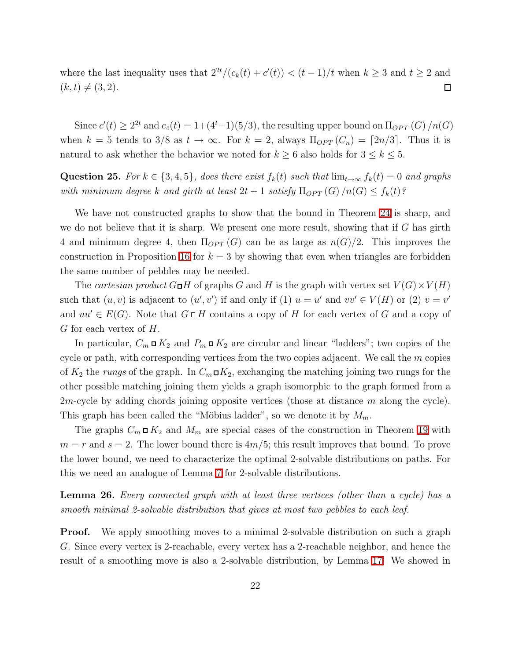where the last inequality uses that  $2^{2t}/(c_k(t) + c'(t)) < (t-1)/t$  when  $k \ge 3$  and  $t \ge 2$  and  $(k, t) \neq (3, 2).$  $\Box$ 

Since  $c'(t) \geq 2^{2t}$  and  $c_4(t) = 1 + (4^t - 1)(5/3)$ , the resulting upper bound on  $\Pi_{OPT}(G)/n(G)$ when  $k = 5$  tends to 3/8 as  $t \to \infty$ . For  $k = 2$ , always  $\Pi_{OPT}(C_n) = \lceil 2n/3 \rceil$ . Thus it is natural to ask whether the behavior we noted for  $k \geq 6$  also holds for  $3 \leq k \leq 5$ .

Question 25. For  $k \in \{3,4,5\}$ , does there exist  $f_k(t)$  such that  $\lim_{t\to\infty} f_k(t) = 0$  and graphs with minimum degree k and girth at least  $2t + 1$  satisfy  $\Pi_{OPT}(G)/n(G) \leq f_k(t)$ ?

We have not constructed graphs to show that the bound in Theorem [24](#page-19-2) is sharp, and we do not believe that it is sharp. We present one more result, showing that if  $G$  has girth 4 and minimum degree 4, then  $\Pi_{OPT}(G)$  can be as large as  $n(G)/2$ . This improves the construction in Proposition [16](#page-14-2) for  $k = 3$  by showing that even when triangles are forbidden the same number of pebbles may be needed.

The cartesian product  $G \Box H$  of graphs G and H is the graph with vertex set  $V(G) \times V(H)$ such that  $(u, v)$  is adjacent to  $(u', v')$  if and only if (1)  $u = u'$  and  $vv' \in V(H)$  or (2)  $v = v'$ and  $uu' \in E(G)$ . Note that  $G \square H$  contains a copy of H for each vertex of G and a copy of  $G$  for each vertex of  $H$ .

In particular,  $C_m \Box K_2$  and  $P_m \Box K_2$  are circular and linear "ladders"; two copies of the cycle or path, with corresponding vertices from the two copies adjacent. We call the  $m$  copies of  $K_2$  the rungs of the graph. In  $C_m \square K_2$ , exchanging the matching joining two rungs for the other possible matching joining them yields a graph isomorphic to the graph formed from a 2*m*-cycle by adding chords joining opposite vertices (those at distance m along the cycle). This graph has been called the "Möbius ladder", so we denote it by  $M_m$ .

The graphs  $C_m \Box K_2$  and  $M_m$  are special cases of the construction in Theorem [19](#page-16-1) with  $m = r$  and  $s = 2$ . The lower bound there is  $4m/5$ ; this result improves that bound. To prove the lower bound, we need to characterize the optimal 2-solvable distributions on paths. For this we need an analogue of Lemma [7](#page-9-0) for 2-solvable distributions.

<span id="page-21-0"></span>**Lemma 26.** Every connected graph with at least three vertices (other than a cycle) has a smooth minimal 2-solvable distribution that gives at most two pebbles to each leaf.

**Proof.** We apply smoothing moves to a minimal 2-solvable distribution on such a graph G. Since every vertex is 2-reachable, every vertex has a 2-reachable neighbor, and hence the result of a smoothing move is also a 2-solvable distribution, by Lemma [17.](#page-15-0) We showed in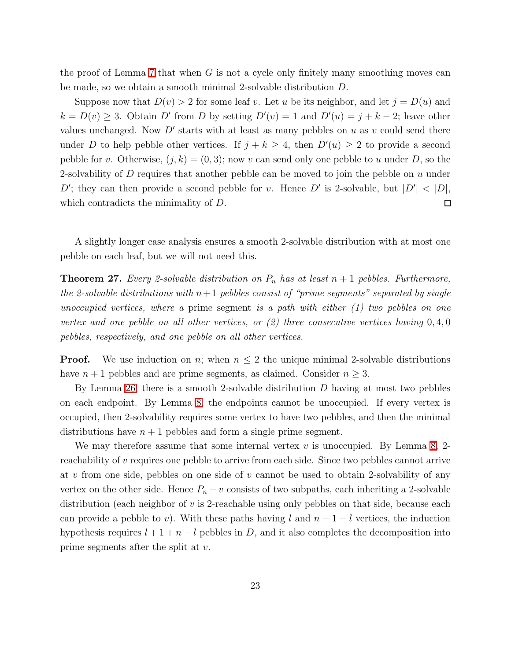the proof of Lemma [7](#page-9-0) that when  $G$  is not a cycle only finitely many smoothing moves can be made, so we obtain a smooth minimal 2-solvable distribution D.

Suppose now that  $D(v) > 2$  for some leaf v. Let u be its neighbor, and let  $j = D(u)$  and  $k = D(v) \geq 3$ . Obtain D' from D by setting  $D'(v) = 1$  and  $D'(u) = j + k - 2$ ; leave other values unchanged. Now  $D'$  starts with at least as many pebbles on u as v could send there under D to help pebble other vertices. If  $j + k \geq 4$ , then  $D'(u) \geq 2$  to provide a second pebble for v. Otherwise,  $(j, k) = (0, 3)$ ; now v can send only one pebble to u under D, so the 2-solvability of  $D$  requires that another pebble can be moved to join the pebble on  $u$  under D'; they can then provide a second pebble for v. Hence D' is 2-solvable, but  $|D'| < |D|$ , which contradicts the minimality of  $D$ .  $\Box$ 

<span id="page-22-0"></span>A slightly longer case analysis ensures a smooth 2-solvable distribution with at most one pebble on each leaf, but we will not need this.

**Theorem 27.** Every 2-solvable distribution on  $P_n$  has at least  $n + 1$  pebbles. Furthermore, the 2-solvable distributions with  $n+1$  pebbles consist of "prime segments" separated by single unoccupied vertices, where a prime segment is a path with either  $(1)$  two pebbles on one vertex and one pebble on all other vertices, or  $(2)$  three consecutive vertices having  $0, 4, 0$ pebbles, respectively, and one pebble on all other vertices.

**Proof.** We use induction on n; when  $n \leq 2$  the unique minimal 2-solvable distributions have  $n + 1$  pebbles and are prime segments, as claimed. Consider  $n \geq 3$ .

By Lemma [26,](#page-21-0) there is a smooth 2-solvable distribution  $D$  having at most two pebbles on each endpoint. By Lemma [8,](#page-10-0) the endpoints cannot be unoccupied. If every vertex is occupied, then 2-solvability requires some vertex to have two pebbles, and then the minimal distributions have  $n + 1$  pebbles and form a single prime segment.

We may therefore assume that some internal vertex  $v$  is unoccupied. By Lemma [8,](#page-10-0) 2reachability of v requires one pebble to arrive from each side. Since two pebbles cannot arrive at v from one side, pebbles on one side of v cannot be used to obtain 2-solvability of any vertex on the other side. Hence  $P_n - v$  consists of two subpaths, each inheriting a 2-solvable distribution (each neighbor of  $v$  is 2-reachable using only pebbles on that side, because each can provide a pebble to v). With these paths having l and  $n-1-l$  vertices, the induction hypothesis requires  $l + 1 + n - l$  pebbles in D, and it also completes the decomposition into prime segments after the split at v.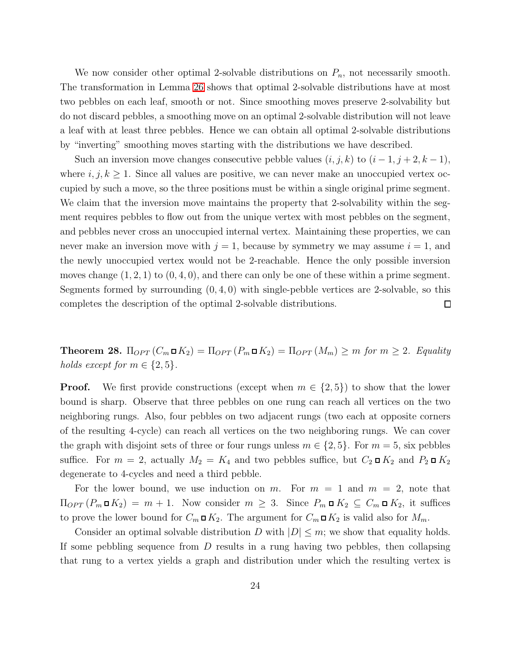We now consider other optimal 2-solvable distributions on  $P_n$ , not necessarily smooth. The transformation in Lemma [26](#page-21-0) shows that optimal 2-solvable distributions have at most two pebbles on each leaf, smooth or not. Since smoothing moves preserve 2-solvability but do not discard pebbles, a smoothing move on an optimal 2-solvable distribution will not leave a leaf with at least three pebbles. Hence we can obtain all optimal 2-solvable distributions by "inverting" smoothing moves starting with the distributions we have described.

Such an inversion move changes consecutive pebble values  $(i, j, k)$  to  $(i - 1, j + 2, k - 1)$ , where  $i, j, k \geq 1$ . Since all values are positive, we can never make an unoccupied vertex occupied by such a move, so the three positions must be within a single original prime segment. We claim that the inversion move maintains the property that 2-solvability within the segment requires pebbles to flow out from the unique vertex with most pebbles on the segment, and pebbles never cross an unoccupied internal vertex. Maintaining these properties, we can never make an inversion move with  $j = 1$ , because by symmetry we may assume  $i = 1$ , and the newly unoccupied vertex would not be 2-reachable. Hence the only possible inversion moves change  $(1, 2, 1)$  to  $(0, 4, 0)$ , and there can only be one of these within a prime segment. Segments formed by surrounding  $(0, 4, 0)$  with single-pebble vertices are 2-solvable, so this completes the description of the optimal 2-solvable distributions.  $\Box$ 

<span id="page-23-0"></span>**Theorem 28.**  $\Pi_{OPT}(C_m \square K_2) = \Pi_{OPT}(P_m \square K_2) = \Pi_{OPT}(M_m) \ge m$  for  $m \ge 2$ . Equality holds except for  $m \in \{2, 5\}$ .

**Proof.** We first provide constructions (except when  $m \in \{2, 5\}$ ) to show that the lower bound is sharp. Observe that three pebbles on one rung can reach all vertices on the two neighboring rungs. Also, four pebbles on two adjacent rungs (two each at opposite corners of the resulting 4-cycle) can reach all vertices on the two neighboring rungs. We can cover the graph with disjoint sets of three or four rungs unless  $m \in \{2, 5\}$ . For  $m = 5$ , six pebbles suffice. For  $m = 2$ , actually  $M_2 = K_4$  and two pebbles suffice, but  $C_2 \square K_2$  and  $P_2 \square K_2$ degenerate to 4-cycles and need a third pebble.

For the lower bound, we use induction on m. For  $m = 1$  and  $m = 2$ , note that  $\Pi_{OPT}(P_m \square K_2) = m + 1$ . Now consider  $m \geq 3$ . Since  $P_m \square K_2 \subseteq C_m \square K_2$ , it suffices to prove the lower bound for  $C_m \square K_2$ . The argument for  $C_m \square K_2$  is valid also for  $M_m$ .

Consider an optimal solvable distribution D with  $|D| \leq m$ ; we show that equality holds. If some pebbling sequence from  $D$  results in a rung having two pebbles, then collapsing that rung to a vertex yields a graph and distribution under which the resulting vertex is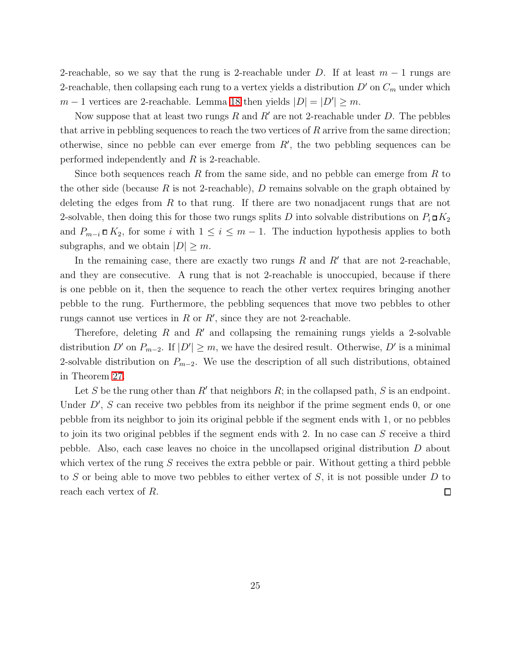2-reachable, so we say that the rung is 2-reachable under D. If at least  $m-1$  rungs are 2-reachable, then collapsing each rung to a vertex yields a distribution  $D'$  on  $C_m$  under which  $m-1$  vertices are 2-reachable. Lemma [18](#page-16-0) then yields  $|D| = |D'| \ge m$ .

Now suppose that at least two rungs R and R' are not 2-reachable under D. The pebbles that arrive in pebbling sequences to reach the two vertices of  $R$  arrive from the same direction; otherwise, since no pebble can ever emerge from  $R'$ , the two pebbling sequences can be performed independently and R is 2-reachable.

Since both sequences reach R from the same side, and no pebble can emerge from R to the other side (because R is not 2-reachable), D remains solvable on the graph obtained by deleting the edges from  $R$  to that rung. If there are two nonadjacent rungs that are not 2-solvable, then doing this for those two rungs splits D into solvable distributions on  $P_i \Box K_2$ and  $P_{m-i} \square K_2$ , for some i with  $1 \leq i \leq m-1$ . The induction hypothesis applies to both subgraphs, and we obtain  $|D| \geq m$ .

In the remaining case, there are exactly two rungs  $R$  and  $R'$  that are not 2-reachable, and they are consecutive. A rung that is not 2-reachable is unoccupied, because if there is one pebble on it, then the sequence to reach the other vertex requires bringing another pebble to the rung. Furthermore, the pebbling sequences that move two pebbles to other rungs cannot use vertices in  $R$  or  $R'$ , since they are not 2-reachable.

Therefore, deleting R and R' and collapsing the remaining rungs yields a 2-solvable distribution D' on  $P_{m-2}$ . If  $|D'| \geq m$ , we have the desired result. Otherwise, D' is a minimal 2-solvable distribution on  $P_{m-2}$ . We use the description of all such distributions, obtained in Theorem [27.](#page-22-0)

Let S be the rung other than  $R'$  that neighbors  $R$ ; in the collapsed path, S is an endpoint. Under  $D'$ , S can receive two pebbles from its neighbor if the prime segment ends  $0$ , or one pebble from its neighbor to join its original pebble if the segment ends with 1, or no pebbles to join its two original pebbles if the segment ends with 2. In no case can S receive a third pebble. Also, each case leaves no choice in the uncollapsed original distribution D about which vertex of the rung  $S$  receives the extra pebble or pair. Without getting a third pebble to S or being able to move two pebbles to either vertex of S, it is not possible under D to reach each vertex of R.  $\Box$